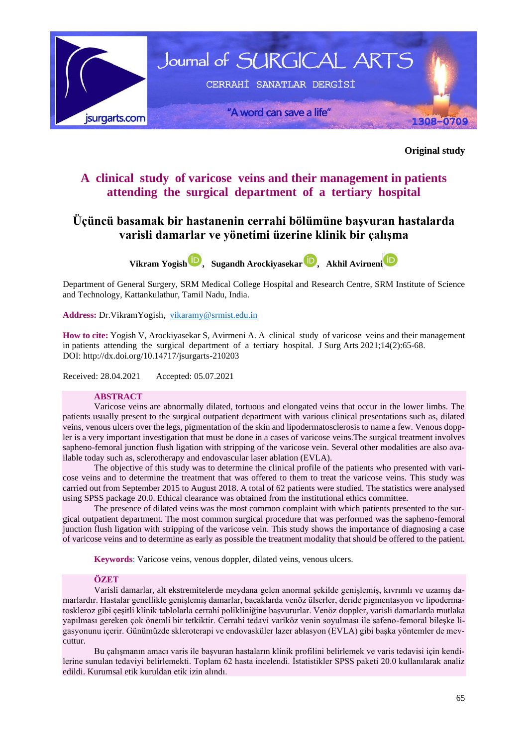

**Original study**

# **A clinical study of varicose veins and their management in patients attending the surgical department of a tertiary hospital**

# **Üçüncü basamak bir hastanenin cerrahi bölümüne başvuran hastalarda varisli damarlar ve yönetimi üzerine klinik bir çalışma**

**Vikram Yogis[h](https://orcid.org/0000-0002-7440-9787) , Sugandh Arockiyaseka[r](https://orcid.org/0000-0001-8982-9285) , Akhil Avirneni**

Department of General Surgery, SRM Medical College Hospital and Research Centre, SRM Institute of Science and Technology, Kattankulathur, Tamil Nadu, India.

**Address:** Dr.VikramYogish, [vikaramy@srmist.edu.in](mailto:vikaramy@srmist.edu.in)

**How to cite:** Yogish V, Arockiyasekar S, Avirmeni A. A clinical study of varicose veins and their management in patients attending the surgical department of a tertiary hospital. J Surg Arts 2021;14(2):65-68. DOI: <http://dx.doi.org/10.14717/jsurgarts-210203>

Received: 28.04.2021 Accepted: 05.07.2021

## **ABSTRACT**

Varicose veins are abnormally dilated, tortuous and elongated veins that occur in the lower limbs. The patients usually present to the surgical outpatient department with various clinical presentations such as, dilated veins, venous ulcers over the legs, pigmentation of the skin and lipodermatosclerosis to name a few. Venous doppler is a very important investigation that must be done in a cases of varicose veins.The surgical treatment involves sapheno-femoral junction flush ligation with stripping of the varicose vein. Several other modalities are also available today such as, sclerotherapy and endovascular laser ablation (EVLA).

The objective of this study was to determine the clinical profile of the patients who presented with varicose veins and to determine the treatment that was offered to them to treat the varicose veins. This study was carried out from September 2015 to August 2018. A total of 62 patients were studied. The statistics were analysed using SPSS package 20.0. Ethical clearance was obtained from the institutional ethics committee.

The presence of dilated veins was the most common complaint with which patients presented to the surgical outpatient department. The most common surgical procedure that was performed was the sapheno-femoral junction flush ligation with stripping of the varicose vein. This study shows the importance of diagnosing a case of varicose veins and to determine as early as possible the treatment modality that should be offered to the patient.

**Keywords**: Varicose veins, venous doppler, dilated veins, venous ulcers.

# **ÖZET**

Varisli damarlar, alt ekstremitelerde meydana gelen anormal şekilde genişlemiş, kıvrımlı ve uzamış damarlardır. Hastalar genellikle genişlemiş damarlar, bacaklarda venöz ülserler, deride pigmentasyon ve lipodermatoskleroz gibi çeşitli klinik tablolarla cerrahi polikliniğine başvururlar. Venöz doppler, varisli damarlarda mutlaka yapılması gereken çok önemli bir tetkiktir. Cerrahi tedavi variköz venin soyulması ile safeno-femoral bileşke ligasyonunu içerir. Günümüzde skleroterapi ve endovasküler lazer ablasyon (EVLA) gibi başka yöntemler de mevcuttur.

Bu çalışmanın amacı varis ile başvuran hastaların klinik profilini belirlemek ve varis tedavisi için kendilerine sunulan tedaviyi belirlemekti. Toplam 62 hasta incelendi. İstatistikler SPSS paketi 20.0 kullanılarak analiz edildi. Kurumsal etik kuruldan etik izin alındı.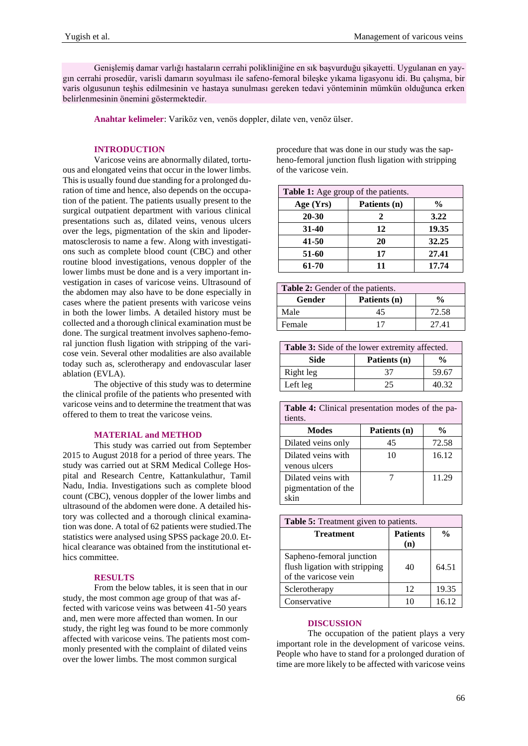Genişlemiş damar varlığı hastaların cerrahi polikliniğine en sık başvurduğu şikayetti. Uygulanan en yaygın cerrahi prosedür, varisli damarın soyulması ile safeno-femoral bileşke yıkama ligasyonu idi. Bu çalışma, bir varis olgusunun teşhis edilmesinin ve hastaya sunulması gereken tedavi yönteminin mümkün olduğunca erken belirlenmesinin önemini göstermektedir.

**Anahtar kelimeler**: Variköz ven, venös doppler, dilate ven, venöz ülser.

# **INTRODUCTION**

 Varicose veins are abnormally dilated, tortuous and elongated veins that occur in the lower limbs. This is usually found due standing for a prolonged duration of time and hence, also depends on the occupation of the patient. The patients usually present to the surgical outpatient department with various clinical presentations such as, dilated veins, venous ulcers over the legs, pigmentation of the skin and lipodermatosclerosis to name a few. Along with investigations such as complete blood count (CBC) and other routine blood investigations, venous doppler of the lower limbs must be done and is a very important investigation in cases of varicose veins. Ultrasound of the abdomen may also have to be done especially in cases where the patient presents with varicose veins in both the lower limbs. A detailed history must be collected and a thorough clinical examination must be done. The surgical treatment involves sapheno-femoral junction flush ligation with stripping of the varicose vein. Several other modalities are also available today such as, sclerotherapy and endovascular laser ablation (EVLA).

The objective of this study was to determine the clinical profile of the patients who presented with varicose veins and to determine the treatment that was offered to them to treat the varicose veins.

#### **MATERIAL and METHOD**

This study was carried out from September 2015 to August 2018 for a period of three years. The study was carried out at SRM Medical College Hospital and Research Centre, Kattankulathur, Tamil Nadu, India. Investigations such as complete blood count (CBC), venous doppler of the lower limbs and ultrasound of the abdomen were done. A detailed history was collected and a thorough clinical examination was done. A total of 62 patients were studied.The statistics were analysed using SPSS package 20.0. Ethical clearance was obtained from the institutional ethics committee.

## **RESULTS**

From the below tables, it is seen that in our study, the most common age group of that was affected with varicose veins was between 41-50 years and, men were more affected than women. In our study, the right leg was found to be more commonly affected with varicose veins. The patients most commonly presented with the complaint of dilated veins over the lower limbs. The most common surgical

procedure that was done in our study was the sapheno-femoral junction flush ligation with stripping of the varicose vein.

| <b>Table 1:</b> Age group of the patients. |    |       |  |  |
|--------------------------------------------|----|-------|--|--|
| Age (Yrs)<br>Patients (n)<br>$\frac{0}{0}$ |    |       |  |  |
| $20 - 30$                                  | 2  | 3.22  |  |  |
| $31 - 40$                                  | 12 | 19.35 |  |  |
| $41 - 50$                                  | 20 | 32.25 |  |  |
| 51-60                                      | 17 | 27.41 |  |  |
| 61-70                                      | 11 | 17.74 |  |  |

| Table 2: Gender of the patients.        |    |       |  |  |  |
|-----------------------------------------|----|-------|--|--|--|
| Gender<br>Patients (n)<br>$\frac{0}{0}$ |    |       |  |  |  |
| Male                                    | 45 | 72.58 |  |  |  |
| Female                                  |    | 27.41 |  |  |  |

| <b>Table 3:</b> Side of the lower extremity affected. |                               |       |  |  |  |
|-------------------------------------------------------|-------------------------------|-------|--|--|--|
| Side                                                  | Patients (n)<br>$\frac{0}{0}$ |       |  |  |  |
| Right leg                                             | 37                            | 59.67 |  |  |  |
| Left leg                                              | 25                            | 40.32 |  |  |  |

**Table 4:** Clinical presentation modes of the patients. **Modes Patients (n) %** Dilated veins only  $\vert$  45 72.58 Dilated veins with venous ulcers 10 16.12 Dilated veins with pigmentation of the 7 11.29

### **Table 5:** Treatment given to patients.

skin

| <b>Treatment</b>                                                                  | <b>Patients</b><br>(n) | $\frac{0}{0}$ |
|-----------------------------------------------------------------------------------|------------------------|---------------|
| Sapheno-femoral junction<br>flush ligation with stripping<br>of the varicose vein | 40                     | 64.51         |
| Sclerotherapy                                                                     | 12                     | 19.35         |
| Conservative                                                                      |                        | 16.12         |

#### **DISCUSSION**

The occupation of the patient plays a very important role in the development of varicose veins. People who have to stand for a prolonged duration of time are more likely to be affected with varicose veins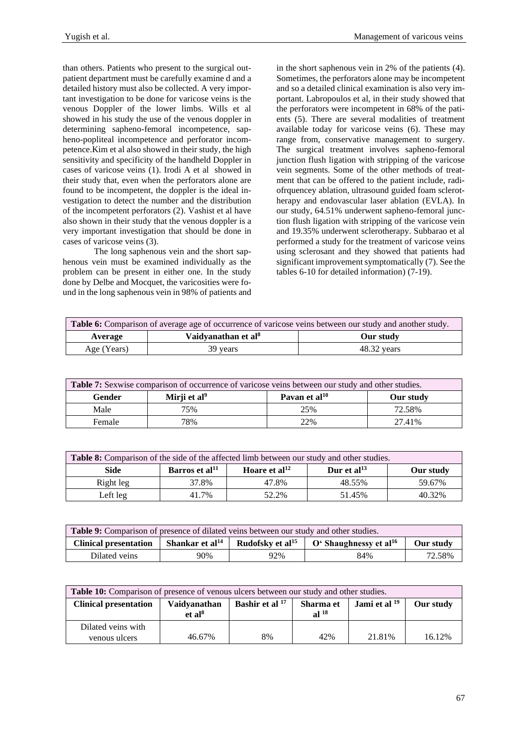than others. Patients who present to the surgical outpatient department must be carefully examine d and a detailed history must also be collected. A very important investigation to be done for varicose veins is the venous Doppler of the lower limbs. Wills et al showed in his study the use of the venous doppler in determining sapheno-femoral incompetence, sapheno-popliteal incompetence and perforator incompetence.Kim et al also showed in their study, the high sensitivity and specificity of the handheld Doppler in cases of varicose veins (1). Irodi A et al showed in their study that, even when the perforators alone are found to be incompetent, the doppler is the ideal investigation to detect the number and the distribution of the incompetent perforators (2). Vashist et al have also shown in their study that the venous doppler is a very important investigation that should be done in cases of varicose veins (3).

The long saphenous vein and the short saphenous vein must be examined individually as the problem can be present in either one. In the study done by Delbe and Mocquet, the varicosities were found in the long saphenous vein in 98% of patients and in the short saphenous vein in 2% of the patients (4). Sometimes, the perforators alone may be incompetent and so a detailed clinical examination is also very important. Labropoulos et al, in their study showed that the perforators were incompetent in 68% of the patients (5). There are several modalities of treatment available today for varicose veins (6). These may range from, conservative management to surgery. The surgical treatment involves sapheno-femoral junction flush ligation with stripping of the varicose vein segments. Some of the other methods of treatment that can be offered to the patient include, radiofrquencey ablation, ultrasound guided foam sclerotherapy and endovascular laser ablation (EVLA). In our study, 64.51% underwent sapheno-femoral junction flush ligation with stripping of the varicose vein and 19.35% underwent sclerotherapy. Subbarao et al performed a study for the treatment of varicose veins using sclerosant and they showed that patients had significant improvement symptomatically (7). See the tables 6-10 for detailed information) (7-19).

| <b>Table 6:</b> Comparison of average age of occurrence of varicose veins between our study and another study. |                                              |               |  |  |
|----------------------------------------------------------------------------------------------------------------|----------------------------------------------|---------------|--|--|
| Average                                                                                                        | Vaidyanathan et al <sup>8</sup><br>Our study |               |  |  |
| Age (Years)                                                                                                    | 39 years                                     | $48.32$ years |  |  |

| Table 7: Sexwise comparison of occurrence of varicose veins between our study and other studies. |                                                                    |     |        |  |  |
|--------------------------------------------------------------------------------------------------|--------------------------------------------------------------------|-----|--------|--|--|
| <b>Gender</b>                                                                                    | Pavan et al <sup>10</sup><br>Mirji et al <sup>9</sup><br>Our study |     |        |  |  |
| Male                                                                                             | 75%                                                                | 25% | 72.58% |  |  |
| Female                                                                                           | 78%                                                                | 22% | 27.41% |  |  |

| <b>Table 8:</b> Comparison of the side of the affected limb between our study and other studies. |                            |           |        |        |
|--------------------------------------------------------------------------------------------------|----------------------------|-----------|--------|--------|
| Side                                                                                             | Barros et al <sup>11</sup> | Our study |        |        |
| Right leg                                                                                        | 37.8%                      | 47.8%     | 48.55% | 59.67% |
| Left leg                                                                                         | 41.7%                      | 52.2%     | 51.45% | 40.32% |

| <b>Table 9:</b> Comparison of presence of dilated veins between our study and other studies. |                                                                                                                |     |     |        |
|----------------------------------------------------------------------------------------------|----------------------------------------------------------------------------------------------------------------|-----|-----|--------|
| <b>Clinical presentation</b>                                                                 | Rudofsky et al <sup>15</sup><br>O' Shaughnessy et al <sup>16</sup><br>Shankar et al <sup>14</sup><br>Our study |     |     |        |
| Dilated veins                                                                                | 90%                                                                                                            | 92% | 84% | 72.58% |

| <b>Table 10:</b> Comparison of presence of venous ulcers between our study and other studies. |                                                                                                                                             |    |     |        |        |  |
|-----------------------------------------------------------------------------------------------|---------------------------------------------------------------------------------------------------------------------------------------------|----|-----|--------|--------|--|
| <b>Clinical presentation</b>                                                                  | Bashir et al <sup>17</sup><br>Jami et al <sup>19</sup><br><b>Vaidvanathan</b><br>Sharma et<br>Our study<br>al $^{18}$<br>et al <sup>8</sup> |    |     |        |        |  |
| Dilated veins with                                                                            |                                                                                                                                             |    |     |        |        |  |
| venous ulcers                                                                                 | 46.67%                                                                                                                                      | 8% | 42% | 21.81% | 16.12% |  |